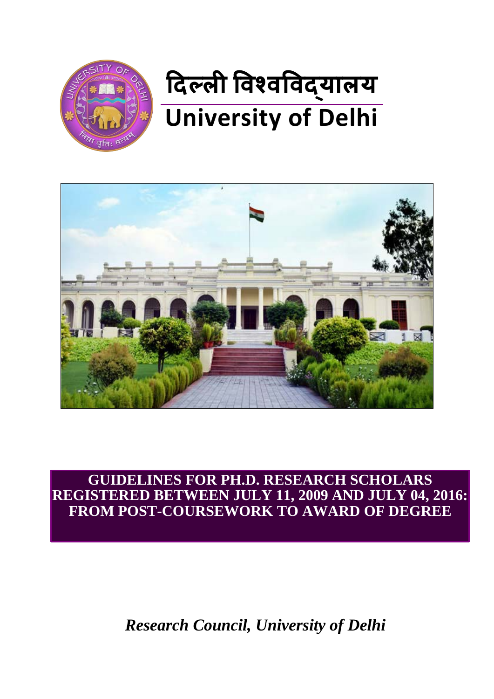



**GUIDELINES FOR PH.D. RESEARCH SCHOLARS REGISTERED BETWEEN JULY 11, 2009 AND JULY 04, 2016: FROM POST-COURSEWORK TO AWARD OF DEGREE**

*Research Council, University of Delhi*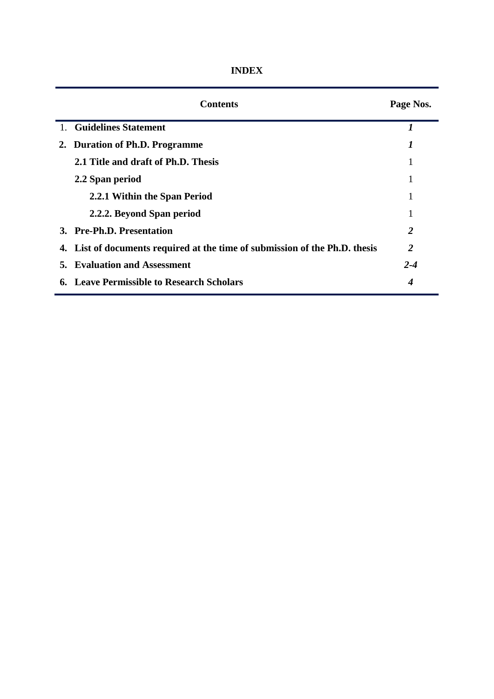|    | <b>Contents</b>                                                             | Page Nos. |
|----|-----------------------------------------------------------------------------|-----------|
|    | 1. Guidelines Statement                                                     |           |
| 2. | <b>Duration of Ph.D. Programme</b>                                          | 1         |
|    | 2.1 Title and draft of Ph.D. Thesis                                         |           |
|    | 2.2 Span period                                                             |           |
|    | 2.2.1 Within the Span Period                                                |           |
|    | 2.2.2. Beyond Span period                                                   |           |
|    | 3. Pre-Ph.D. Presentation                                                   | 2         |
|    | 4. List of documents required at the time of submission of the Ph.D. thesis | 2         |
|    | <b>5. Evaluation and Assessment</b>                                         | $2 - 4$   |
|    | <b>6. Leave Permissible to Research Scholars</b>                            | 4         |

**INDEX**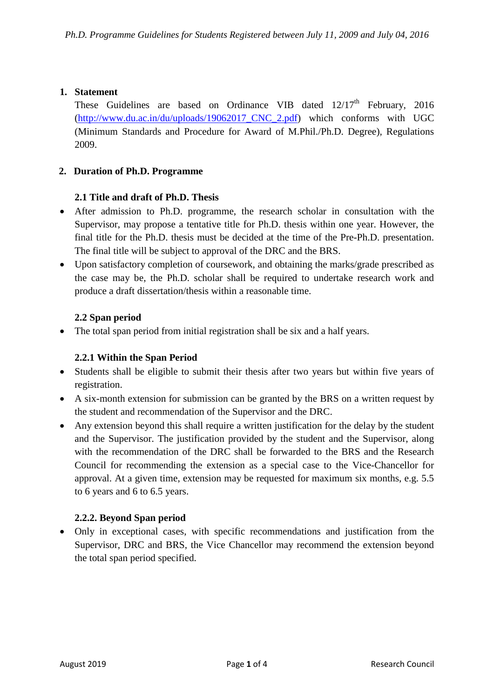#### **1. Statement**

These Guidelines are based on Ordinance VIB dated  $12/17<sup>th</sup>$  February, 2016 [\(http://www.du.ac.in/du/uploads/19062017\\_CNC\\_2.pdf\)](http://www.du.ac.in/du/uploads/19062017_CNC_2.pdf) which conforms with UGC (Minimum Standards and Procedure for Award of M.Phil./Ph.D. Degree), Regulations 2009.

#### **2. Duration of Ph.D. Programme**

#### **2.1 Title and draft of Ph.D. Thesis**

- After admission to Ph.D. programme, the research scholar in consultation with the Supervisor, may propose a tentative title for Ph.D. thesis within one year. However, the final title for the Ph.D. thesis must be decided at the time of the Pre-Ph.D. presentation. The final title will be subject to approval of the DRC and the BRS.
- Upon satisfactory completion of coursework, and obtaining the marks/grade prescribed as the case may be, the Ph.D. scholar shall be required to undertake research work and produce a draft dissertation/thesis within a reasonable time.

#### **2.2 Span period**

• The total span period from initial registration shall be six and a half years.

## **2.2.1 Within the Span Period**

- Students shall be eligible to submit their thesis after two years but within five years of registration.
- A six-month extension for submission can be granted by the BRS on a written request by the student and recommendation of the Supervisor and the DRC.
- Any extension beyond this shall require a written justification for the delay by the student and the Supervisor. The justification provided by the student and the Supervisor, along with the recommendation of the DRC shall be forwarded to the BRS and the Research Council for recommending the extension as a special case to the Vice-Chancellor for approval. At a given time, extension may be requested for maximum six months, e.g. 5.5 to 6 years and 6 to 6.5 years.

## **2.2.2. Beyond Span period**

• Only in exceptional cases, with specific recommendations and justification from the Supervisor, DRC and BRS, the Vice Chancellor may recommend the extension beyond the total span period specified.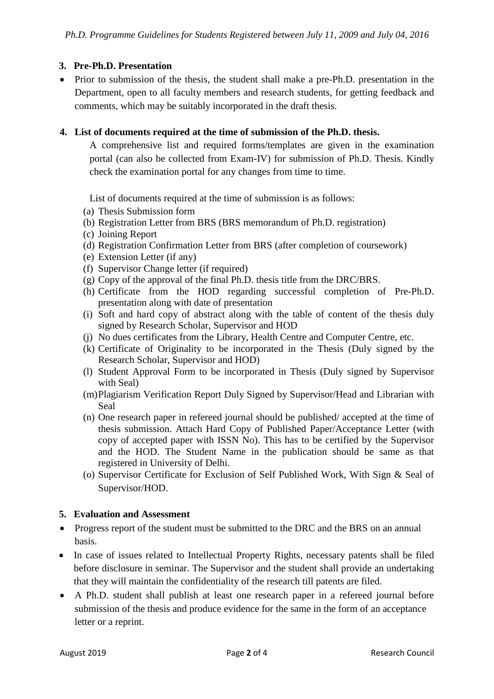# **3. Pre-Ph.D. Presentation**

• Prior to submission of the thesis, the student shall make a pre-Ph.D. presentation in the Department, open to all faculty members and research students, for getting feedback and comments, which may be suitably incorporated in the draft thesis.

## **4. List of documents required at the time of submission of the Ph.D. thesis.**

A comprehensive list and required forms/templates are given in the examination portal (can also be collected from Exam-IV) for submission of Ph.D. Thesis. Kindly check the examination portal for any changes from time to time.

List of documents required at the time of submission is as follows:

- (a) Thesis Submission form
- (b) Registration Letter from BRS (BRS memorandum of Ph.D. registration)
- (c) Joining Report
- (d) Registration Confirmation Letter from BRS (after completion of coursework)
- (e) Extension Letter (if any)
- (f) Supervisor Change letter (if required)
- (g) Copy of the approval of the final Ph.D. thesis title from the DRC/BRS.
- (h) Certificate from the HOD regarding successful completion of Pre-Ph.D. presentation along with date of presentation
- (i) Soft and hard copy of abstract along with the table of content of the thesis duly signed by Research Scholar, Supervisor and HOD
- (j) No dues certificates from the Library, Health Centre and Computer Centre, etc.
- (k) Certificate of Originality to be incorporated in the Thesis (Duly signed by the Research Scholar, Supervisor and HOD)
- (l) Student Approval Form to be incorporated in Thesis (Duly signed by Supervisor with Seal)
- (m)Plagiarism Verification Report Duly Signed by Supervisor/Head and Librarian with Seal
- (n) One research paper in refereed journal should be published/ accepted at the time of thesis submission. Attach Hard Copy of Published Paper/Acceptance Letter (with copy of accepted paper with ISSN No). This has to be certified by the Supervisor and the HOD. The Student Name in the publication should be same as that registered in University of Delhi.
- (o) Supervisor Certificate for Exclusion of Self Published Work, With Sign & Seal of Supervisor/HOD.

## **5. Evaluation and Assessment**

- Progress report of the student must be submitted to the DRC and the BRS on an annual basis.
- In case of issues related to Intellectual Property Rights, necessary patents shall be filed before disclosure in seminar. The Supervisor and the student shall provide an undertaking that they will maintain the confidentiality of the research till patents are filed.
- A Ph.D. student shall publish at least one research paper in a refereed journal before submission of the thesis and produce evidence for the same in the form of an acceptance letter or a reprint.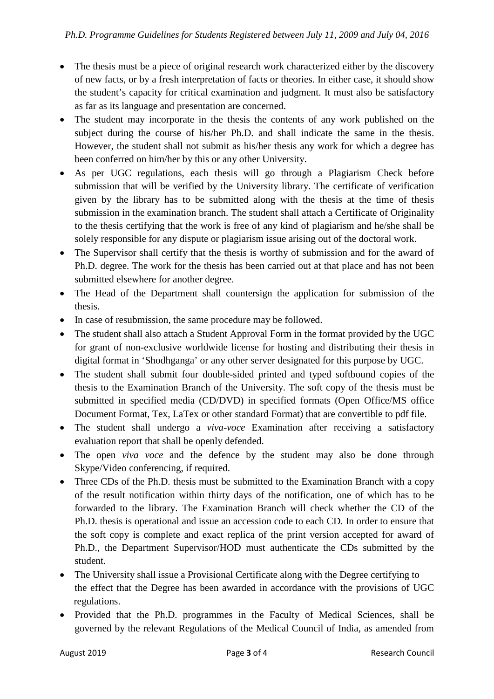- The thesis must be a piece of original research work characterized either by the discovery of new facts, or by a fresh interpretation of facts or theories. In either case, it should show the student's capacity for critical examination and judgment. It must also be satisfactory as far as its language and presentation are concerned.
- The student may incorporate in the thesis the contents of any work published on the subject during the course of his/her Ph.D. and shall indicate the same in the thesis. However, the student shall not submit as his/her thesis any work for which a degree has been conferred on him/her by this or any other University.
- As per UGC regulations, each thesis will go through a Plagiarism Check before submission that will be verified by the University library. The certificate of verification given by the library has to be submitted along with the thesis at the time of thesis submission in the examination branch. The student shall attach a Certificate of Originality to the thesis certifying that the work is free of any kind of plagiarism and he/she shall be solely responsible for any dispute or plagiarism issue arising out of the doctoral work.
- The Supervisor shall certify that the thesis is worthy of submission and for the award of Ph.D. degree. The work for the thesis has been carried out at that place and has not been submitted elsewhere for another degree.
- The Head of the Department shall countersign the application for submission of the thesis.
- In case of resubmission, the same procedure may be followed.
- The student shall also attach a Student Approval Form in the format provided by the UGC for grant of non-exclusive worldwide license for hosting and distributing their thesis in digital format in 'Shodhganga' or any other server designated for this purpose by UGC.
- The student shall submit four double-sided printed and typed softbound copies of the thesis to the Examination Branch of the University. The soft copy of the thesis must be submitted in specified media (CD/DVD) in specified formats (Open Office/MS office Document Format, Tex, LaTex or other standard Format) that are convertible to pdf file.
- The student shall undergo a *viva-voce* Examination after receiving a satisfactory evaluation report that shall be openly defended.
- The open *viva voce* and the defence by the student may also be done through Skype/Video conferencing, if required.
- Three CDs of the Ph.D. thesis must be submitted to the Examination Branch with a copy of the result notification within thirty days of the notification, one of which has to be forwarded to the library. The Examination Branch will check whether the CD of the Ph.D. thesis is operational and issue an accession code to each CD. In order to ensure that the soft copy is complete and exact replica of the print version accepted for award of Ph.D., the Department Supervisor/HOD must authenticate the CDs submitted by the student.
- The University shall issue a Provisional Certificate along with the Degree certifying to the effect that the Degree has been awarded in accordance with the provisions of UGC regulations.
- Provided that the Ph.D. programmes in the Faculty of Medical Sciences, shall be governed by the relevant Regulations of the Medical Council of India, as amended from